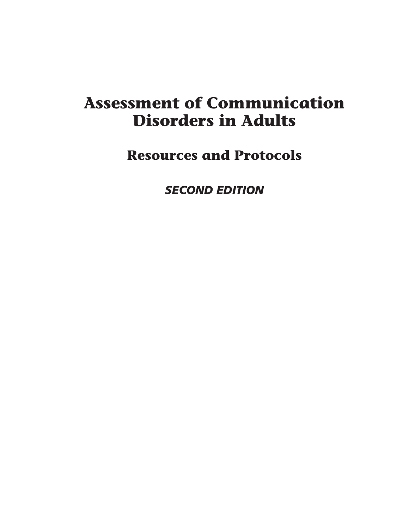# **Assessment of Communication Disorders in Adults**

**Resources and Protocols**

*Second Edition*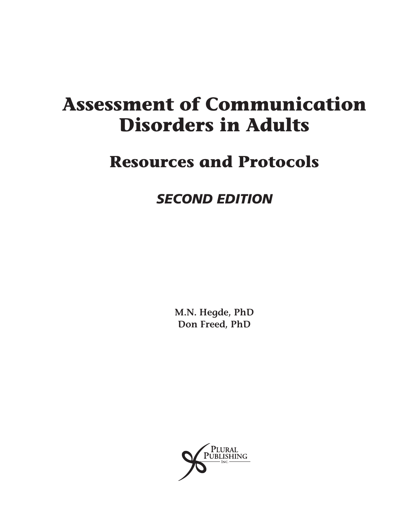# **Assessment of Communication Disorders in Adults**

## **Resources and Protocols**

## *Second Edition*

**M.N. Hegde, PhD Don Freed, PhD**

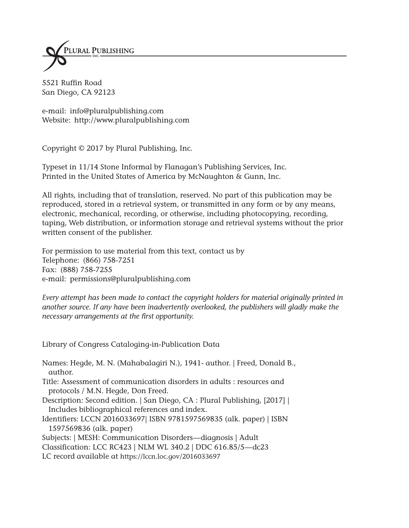

5521 Ruffin Road San Diego, CA 92123

e-mail: info@pluralpublishing.com Website: http://www.pluralpublishing.com

Copyright © 2017 by Plural Publishing, Inc.

Typeset in 11/14 Stone Informal by Flanagan's Publishing Services, Inc. Printed in the United States of America by McNaughton & Gunn, Inc.

All rights, including that of translation, reserved. No part of this publication may be reproduced, stored in a retrieval system, or transmitted in any form or by any means, electronic, mechanical, recording, or otherwise, including photocopying, recording, taping, Web distribution, or information storage and retrieval systems without the prior written consent of the publisher.

For permission to use material from this text, contact us by Telephone: (866) 758-7251 Fax: (888) 758-7255 e-mail: permissions@pluralpublishing.com

*Every attempt has been made to contact the copyright holders for material originally printed in another source. If any have been inadvertently overlooked, the publishers will gladly make the necessary arrangements at the first opportunity.*

Library of Congress Cataloging-in-Publication Data

Names: Hegde, M. N. (Mahabalagiri N.), 1941- author. | Freed, Donald B., author. Title: Assessment of communication disorders in adults : resources and protocols / M.N. Hegde, Don Freed. Description: Second edition. | San Diego, CA : Plural Publishing, [2017] | Includes bibliographical references and index. Identifiers: LCCN 2016033697| ISBN 9781597569835 (alk. paper) | ISBN 1597569836 (alk. paper) Subjects: | MESH: Communication Disorders—diagnosis | Adult Classification: LCC RC423 | NLM WL 340.2 | DDC 616.85/5—dc23 LC record available at https://lccn.loc.gov/2016033697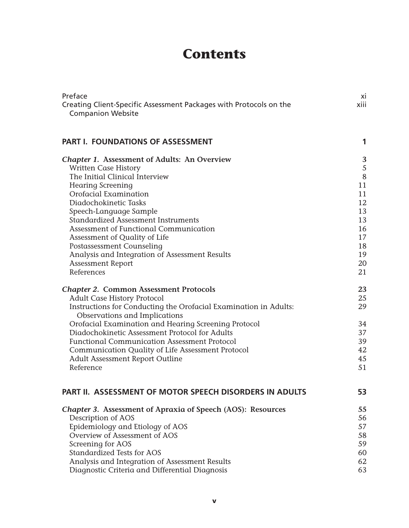## **Contents**

| Preface<br>Creating Client-Specific Assessment Packages with Protocols on the<br><b>Companion Website</b> | xi<br>xiii |
|-----------------------------------------------------------------------------------------------------------|------------|
| <b>PART I. FOUNDATIONS OF ASSESSMENT</b>                                                                  | 1          |
| <b>Chapter 1. Assessment of Adults: An Overview</b>                                                       | 3          |
| <b>Written Case History</b>                                                                               | 5          |
| The Initial Clinical Interview                                                                            | 8          |
| <b>Hearing Screening</b>                                                                                  | 11         |
| Orofacial Examination                                                                                     | 11         |
| Diadochokinetic Tasks                                                                                     | 12         |
| Speech-Language Sample<br><b>Standardized Assessment Instruments</b>                                      | 13<br>13   |
| Assessment of Functional Communication                                                                    | 16         |
| Assessment of Quality of Life                                                                             | 17         |
| Postassessment Counseling                                                                                 | 18         |
| Analysis and Integration of Assessment Results                                                            | 19         |
| <b>Assessment Report</b>                                                                                  | 20         |
| References                                                                                                | 21         |
| <b>Chapter 2. Common Assessment Protocols</b>                                                             | 23         |
| <b>Adult Case History Protocol</b>                                                                        | 25         |
| Instructions for Conducting the Orofacial Examination in Adults:<br>Observations and Implications         | 29         |
| Orofacial Examination and Hearing Screening Protocol                                                      | 34         |
| Diadochokinetic Assessment Protocol for Adults                                                            | 37         |
| <b>Functional Communication Assessment Protocol</b>                                                       | 39         |
| Communication Quality of Life Assessment Protocol                                                         | 42         |
| <b>Adult Assessment Report Outline</b>                                                                    | 45         |
| Reference                                                                                                 | 51         |
| PART II. ASSESSMENT OF MOTOR SPEECH DISORDERS IN ADULTS                                                   | 53         |
| Chapter 3. Assessment of Apraxia of Speech (AOS): Resources                                               | 55         |
| Description of AOS                                                                                        | 56         |
| Epidemiology and Etiology of AOS                                                                          | 57         |
| Overview of Assessment of AOS                                                                             | 58         |
| Screening for AOS                                                                                         | 59         |
| <b>Standardized Tests for AOS</b>                                                                         | 60         |
| Analysis and Integration of Assessment Results<br>Diagnostic Criteria and Differential Diagnosis          | 62<br>63   |
|                                                                                                           |            |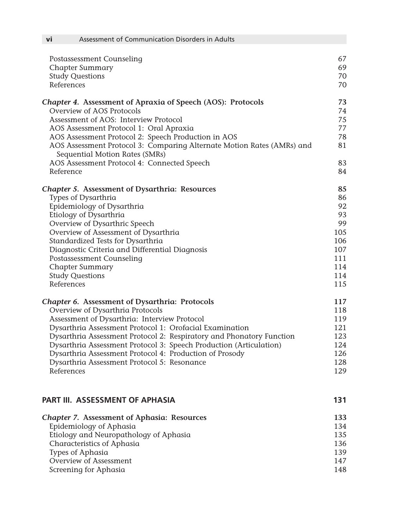| vi         | Assessment of Communication Disorders in Adults                                                          |           |
|------------|----------------------------------------------------------------------------------------------------------|-----------|
|            | <b>Postassessment Counseling</b>                                                                         | 67        |
|            | <b>Chapter Summary</b>                                                                                   | 69        |
|            | <b>Study Questions</b>                                                                                   | 70        |
| References |                                                                                                          | 70        |
|            | <b>Chapter 4. Assessment of Apraxia of Speech (AOS): Protocols</b>                                       | 73        |
|            | Overview of AOS Protocols                                                                                | 74        |
|            | Assessment of AOS: Interview Protocol                                                                    | 75        |
|            | AOS Assessment Protocol 1: Oral Apraxia                                                                  | 77        |
|            | AOS Assessment Protocol 2: Speech Production in AOS                                                      | 78        |
|            | AOS Assessment Protocol 3: Comparing Alternate Motion Rates (AMRs) and<br>Sequential Motion Rates (SMRs) | 81        |
|            | AOS Assessment Protocol 4: Connected Speech                                                              | 83        |
| Reference  |                                                                                                          | 84        |
|            | <b>Chapter 5. Assessment of Dysarthria: Resources</b>                                                    | 85        |
|            | Types of Dysarthria                                                                                      | 86        |
|            | Epidemiology of Dysarthria                                                                               | 92        |
|            | Etiology of Dysarthria                                                                                   | 93        |
|            | Overview of Dysarthric Speech<br>Overview of Assessment of Dysarthria                                    | 99<br>105 |
|            | Standardized Tests for Dysarthria                                                                        | 106       |
|            | Diagnostic Criteria and Differential Diagnosis                                                           | 107       |
|            | Postassessment Counseling                                                                                | 111       |
|            | <b>Chapter Summary</b>                                                                                   | 114       |
|            | <b>Study Questions</b>                                                                                   | 114       |
| References |                                                                                                          | 115       |
|            | Chapter 6. Assessment of Dysarthria: Protocols                                                           | 117       |
|            | Overview of Dysarthria Protocols                                                                         | 118       |
|            | Assessment of Dysarthria: Interview Protocol                                                             | 119       |
|            | Dysarthria Assessment Protocol 1: Orofacial Examination                                                  | 121       |
|            | Dysarthria Assessment Protocol 2: Respiratory and Phonatory Function                                     | 123       |
|            | Dysarthria Assessment Protocol 3: Speech Production (Articulation)                                       | 124       |
|            | Dysarthria Assessment Protocol 4: Production of Prosody                                                  | 126       |
|            | Dysarthria Assessment Protocol 5: Resonance                                                              | 128       |
| References |                                                                                                          | 129       |
|            | PART III. ASSESSMENT OF APHASIA                                                                          | 131       |
|            | <b>Chapter 7. Assessment of Aphasia: Resources</b>                                                       | 133       |
|            | Epidemiology of Aphasia                                                                                  | 134       |
|            | Etiology and Neuropathology of Aphasia                                                                   | 135       |
|            | Characteristics of Aphasia                                                                               | 136       |
|            | Types of Aphasia                                                                                         | 139       |
|            |                                                                                                          |           |

Overview of Assessment 147 Screening for Aphasia 148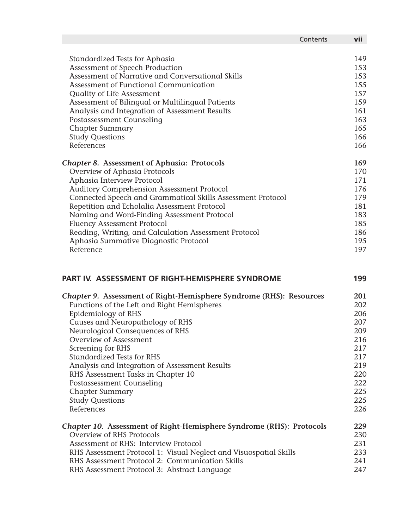|                                                             | Contents | vii |
|-------------------------------------------------------------|----------|-----|
|                                                             |          |     |
| Standardized Tests for Aphasia                              |          | 149 |
| Assessment of Speech Production                             |          | 153 |
| Assessment of Narrative and Conversational Skills           |          | 153 |
| Assessment of Functional Communication                      |          | 155 |
| Quality of Life Assessment                                  |          | 157 |
| Assessment of Bilingual or Multilingual Patients            |          | 159 |
| Analysis and Integration of Assessment Results              |          | 161 |
| Postassessment Counseling                                   |          | 163 |
| <b>Chapter Summary</b>                                      |          | 165 |
| <b>Study Questions</b>                                      |          | 166 |
| References                                                  |          | 166 |
| <b>Chapter 8. Assessment of Aphasia: Protocols</b>          |          | 169 |
| Overview of Aphasia Protocols                               |          | 170 |
| Aphasia Interview Protocol                                  |          | 171 |
| Auditory Comprehension Assessment Protocol                  |          | 176 |
| Connected Speech and Grammatical Skills Assessment Protocol |          | 179 |
| Repetition and Echolalia Assessment Protocol                |          | 181 |
| Naming and Word-Finding Assessment Protocol                 |          | 183 |
| <b>Fluency Assessment Protocol</b>                          |          | 185 |
| Reading, Writing, and Calculation Assessment Protocol       |          | 186 |
| Aphasia Summative Diagnostic Protocol                       |          | 195 |
| Reference                                                   |          | 197 |
|                                                             |          |     |

#### **Part IV. Assessment of Right-Hemisphere Syndrome 199**

| <b>Chapter 9.</b> Assessment of Right-Hemisphere Syndrome (RHS): Resources  | 201 |
|-----------------------------------------------------------------------------|-----|
| Functions of the Left and Right Hemispheres                                 | 202 |
| Epidemiology of RHS                                                         | 206 |
| Causes and Neuropathology of RHS                                            | 207 |
| Neurological Consequences of RHS                                            | 209 |
| Overview of Assessment                                                      | 216 |
| Screening for RHS                                                           | 217 |
| <b>Standardized Tests for RHS</b>                                           | 217 |
| Analysis and Integration of Assessment Results                              | 219 |
| RHS Assessment Tasks in Chapter 10                                          | 220 |
| Postassessment Counseling                                                   | 222 |
| <b>Chapter Summary</b>                                                      | 225 |
| <b>Study Questions</b>                                                      | 225 |
| References                                                                  | 226 |
| <b>Chapter 10.</b> Assessment of Right-Hemisphere Syndrome (RHS): Protocols | 229 |
| Overview of RHS Protocols                                                   | 230 |
| Assessment of RHS: Interview Protocol                                       | 231 |
| RHS Assessment Protocol 1: Visual Neglect and Visuospatial Skills           | 233 |
| RHS Assessment Protocol 2: Communication Skills                             | 241 |
| RHS Assessment Protocol 3: Abstract Language                                | 247 |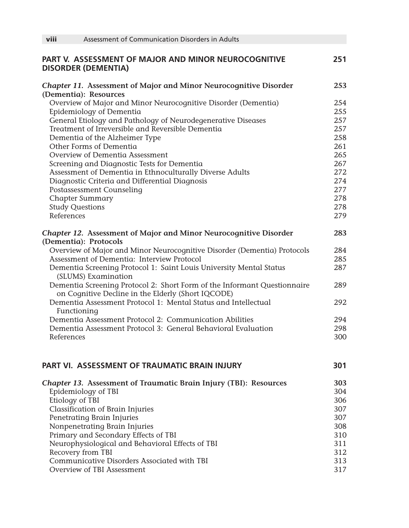#### **Part V. Assessment of Major and Minor Neurocognitive 251 Disorder (Dementia)**

| <b>Chapter 11. Assessment of Major and Minor Neurocognitive Disorder</b> | 253 |
|--------------------------------------------------------------------------|-----|
| (Dementia): Resources                                                    |     |
| Overview of Major and Minor Neurocognitive Disorder (Dementia)           | 254 |
| Epidemiology of Dementia                                                 | 255 |
| General Etiology and Pathology of Neurodegenerative Diseases             | 257 |
| Treatment of Irreversible and Reversible Dementia                        | 257 |
| Dementia of the Alzheimer Type                                           | 258 |
| Other Forms of Dementia                                                  | 261 |
| Overview of Dementia Assessment                                          | 265 |
| Screening and Diagnostic Tests for Dementia                              | 267 |
| Assessment of Dementia in Ethnoculturally Diverse Adults                 | 272 |
| Diagnostic Criteria and Differential Diagnosis                           | 274 |
| Postassessment Counseling                                                | 277 |
| <b>Chapter Summary</b>                                                   | 278 |
| <b>Study Questions</b>                                                   | 278 |
| References                                                               | 279 |
| <b>Chapter 12. Assessment of Major and Minor Neurocognitive Disorder</b> | 283 |
| (Dementia): Protocols                                                    |     |
| Overview of Major and Minor Neurocognitive Disorder (Dementia) Protocols | 284 |
| Assessment of Dementia: Interview Protocol                               | 285 |
| Dementia Screening Protocol 1: Saint Louis University Mental Status      | 287 |
| (SLUMS) Examination                                                      |     |
| Dementia Screening Protocol 2: Short Form of the Informant Questionnaire | 289 |
| on Cognitive Decline in the Elderly (Short IQCODE)                       |     |
| Dementia Assessment Protocol 1: Mental Status and Intellectual           | 292 |
| Functioning                                                              |     |
| Dementia Assessment Protocol 2: Communication Abilities                  | 294 |
| Dementia Assessment Protocol 3: General Behavioral Evaluation            | 298 |
| References                                                               | 300 |
|                                                                          |     |

| <b>Chapter 13. Assessment of Traumatic Brain Injury (TBI): Resources</b> | 303 |
|--------------------------------------------------------------------------|-----|
| Epidemiology of TBI                                                      | 304 |
| Etiology of TBI                                                          | 306 |
| <b>Classification of Brain Injuries</b>                                  | 307 |
| Penetrating Brain Injuries                                               | 307 |
| Nonpenetrating Brain Injuries                                            | 308 |
| Primary and Secondary Effects of TBI                                     | 310 |
| Neurophysiological and Behavioral Effects of TBI                         | 311 |
| Recovery from TBI                                                        | 312 |
| Communicative Disorders Associated with TBI                              | 313 |
| Overview of TBI Assessment                                               | 317 |

**Part VI. Assessment of Traumatic Brain Injury 301**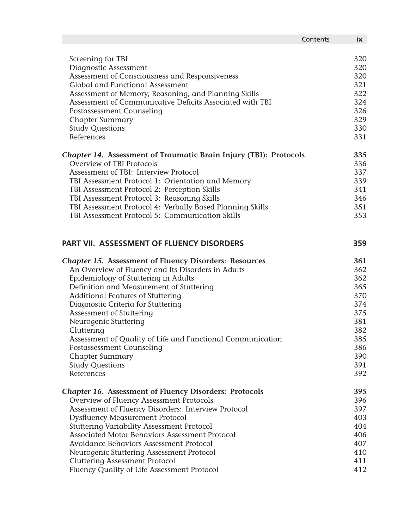| Contents |  |
|----------|--|

| Screening for TBI                                                 | 320 |
|-------------------------------------------------------------------|-----|
| Diagnostic Assessment                                             | 320 |
| Assessment of Consciousness and Responsiveness                    | 320 |
| Global and Functional Assessment                                  | 321 |
| Assessment of Memory, Reasoning, and Planning Skills              | 322 |
| Assessment of Communicative Deficits Associated with TBI          | 324 |
| Postassessment Counseling                                         | 326 |
| <b>Chapter Summary</b>                                            | 329 |
| <b>Study Questions</b>                                            | 330 |
| References                                                        | 331 |
| Chapter 14. Assessment of Traumatic Brain Injury (TBI): Protocols | 335 |
| Overview of TBI Protocols                                         | 336 |
| Assessment of TBI: Interview Protocol                             | 337 |
| TBI Assessment Protocol 1: Orientation and Memory                 | 339 |
| TBI Assessment Protocol 2: Perception Skills                      | 341 |
| TBI Assessment Protocol 3: Reasoning Skills                       | 346 |
| TBI Assessment Protocol 4: Verbally Based Planning Skills         | 351 |
| TBI Assessment Protocol 5: Communication Skills                   | 353 |
| <b>PART VII. ASSESSMENT OF FLUENCY DISORDERS</b>                  | 359 |
| <b>Chapter 15. Assessment of Fluency Disorders: Resources</b>     | 361 |
| An Overview of Fluency and Its Disorders in Adults                | 362 |
| Epidemiology of Stuttering in Adults                              | 362 |
| Definition and Measurement of Stuttering                          | 365 |
| Additional Features of Stuttering                                 | 370 |
| Diagnostic Criteria for Stuttering                                | 374 |
| Assessment of Stuttering                                          | 375 |
| Neurogenic Stuttering                                             | 381 |
| Cluttering                                                        | 382 |
| Assessment of Quality of Life and Functional Communication        | 385 |
| Postassessment Counseling                                         | 386 |
| <b>Chapter Summary</b>                                            | 390 |
| <b>Study Questions</b>                                            | 391 |
| References                                                        | 392 |
| <b>Chapter 16. Assessment of Fluency Disorders: Protocols</b>     | 395 |
| Overview of Fluency Assessment Protocols                          | 396 |
| Assessment of Fluency Disorders: Interview Protocol               | 397 |
| <b>Dysfluency Measurement Protocol</b>                            | 403 |
| <b>Stuttering Variability Assessment Protocol</b>                 | 404 |
| <b>Associated Motor Behaviors Assessment Protocol</b>             | 406 |
| Avoidance Behaviors Assessment Protocol                           | 407 |
| Neurogenic Stuttering Assessment Protocol                         | 410 |
| <b>Cluttering Assessment Protocol</b>                             | 411 |
| Fluency Quality of Life Assessment Protocol                       | 412 |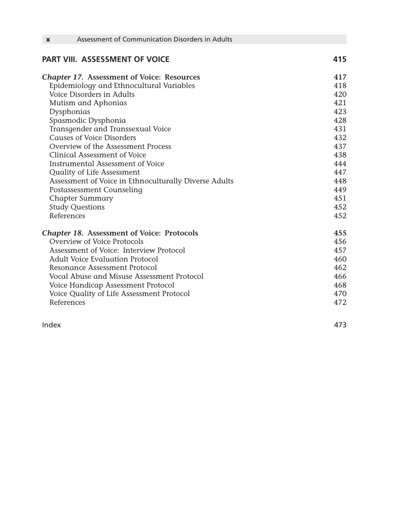| Assessment of Communication Disorders in Adults<br>$\mathbf{x}$ |     |
|-----------------------------------------------------------------|-----|
| <b>PART VIII. ASSESSMENT OF VOICE</b>                           | 415 |
| <b>Chapter 17. Assessment of Voice: Resources</b>               | 417 |
| Epidemiology and Ethnocultural Variables                        | 418 |
| Voice Disorders in Adults                                       | 420 |
| Mutism and Aphonias                                             | 421 |
| Dysphonias                                                      | 423 |
| Spasmodic Dysphonia                                             | 428 |
| Transgender and Transsexual Voice                               | 431 |
| <b>Causes of Voice Disorders</b>                                | 432 |
| Overview of the Assessment Process                              | 437 |
| Clinical Assessment of Voice                                    | 438 |
| <b>Instrumental Assessment of Voice</b>                         | 444 |
| Quality of Life Assessment                                      | 447 |
| Assessment of Voice in Ethnoculturally Diverse Adults           | 448 |
| <b>Postassessment Counseling</b>                                | 449 |
| <b>Chapter Summary</b>                                          | 451 |
| <b>Study Questions</b>                                          | 452 |
| References                                                      | 452 |
| <b>Chapter 18. Assessment of Voice: Protocols</b>               | 455 |
| Overview of Voice Protocols                                     | 456 |
| Assessment of Voice: Interview Protocol                         | 457 |
| <b>Adult Voice Evaluation Protocol</b>                          | 460 |
| Resonance Assessment Protocol                                   | 462 |
| Vocal Abuse and Misuse Assessment Protocol                      | 466 |
| Voice Handicap Assessment Protocol                              | 468 |
| Voice Quality of Life Assessment Protocol                       | 470 |
| References                                                      | 472 |

Index 473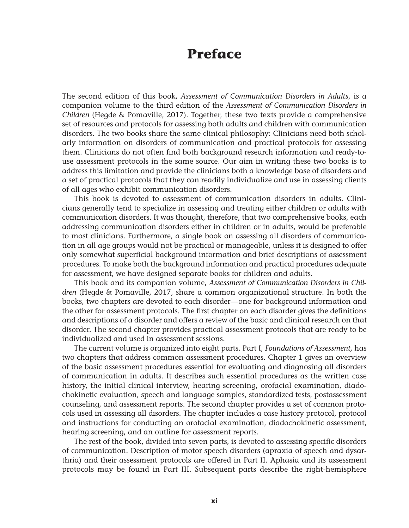### **Preface**

The second edition of this book, *Assessment of Communication Disorders in Adults*, is a companion volume to the third edition of the *Assessment of Communication Disorders in Children* (Hegde & Pomaville, 2017). Together, these two texts provide a comprehensive set of resources and protocols for assessing both adults and children with communication disorders. The two books share the same clinical philosophy: Clinicians need both scholarly information on disorders of communication and practical protocols for assessing them. Clinicians do not often find both background research information and ready-touse assessment protocols in the same source. Our aim in writing these two books is to address this limitation and provide the clinicians both a knowledge base of disorders and a set of practical protocols that they can readily individualize and use in assessing clients of all ages who exhibit communication disorders.

This book is devoted to assessment of communication disorders in adults. Clinicians generally tend to specialize in assessing and treating either children or adults with communication disorders. It was thought, therefore, that two comprehensive books, each addressing communication disorders either in children or in adults, would be preferable to most clinicians. Furthermore, a single book on assessing all disorders of communication in all age groups would not be practical or manageable, unless it is designed to offer only somewhat superficial background information and brief descriptions of assessment procedures. To make both the background information and practical procedures adequate for assessment, we have designed separate books for children and adults.

This book and its companion volume, *Assessment of Communication Disorders in Children* (Hegde & Pomaville, 2017, share a common organizational structure. In both the books, two chapters are devoted to each disorder—one for background information and the other for assessment protocols. The first chapter on each disorder gives the definitions and descriptions of a disorder and offers a review of the basic and clinical research on that disorder. The second chapter provides practical assessment protocols that are ready to be individualized and used in assessment sessions.

The current volume is organized into eight parts. Part I, *Foundations of Assessment,* has two chapters that address common assessment procedures. Chapter 1 gives an overview of the basic assessment procedures essential for evaluating and diagnosing all disorders of communication in adults. It describes such essential procedures as the written case history, the initial clinical interview, hearing screening, orofacial examination, diadochokinetic evaluation, speech and language samples, standardized tests, postassessment counseling, and assessment reports. The second chapter provides a set of common protocols used in assessing all disorders. The chapter includes a case history protocol, protocol and instructions for conducting an orofacial examination, diadochokinetic assessment, hearing screening, and an outline for assessment reports.

The rest of the book, divided into seven parts, is devoted to assessing specific disorders of communication. Description of motor speech disorders (apraxia of speech and dysarthria) and their assessment protocols are offered in Part II. Aphasia and its assessment protocols may be found in Part III. Subsequent parts describe the right-hemisphere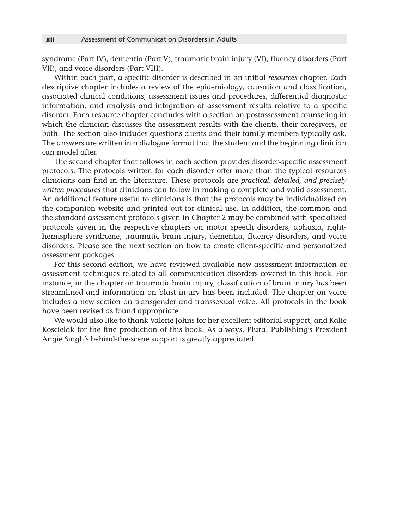syndrome (Part IV), dementia (Part V), traumatic brain injury (VI), fluency disorders (Part VII), and voice disorders (Part VIII).

Within each part, a specific disorder is described in an initial *resources* chapter. Each descriptive chapter includes a review of the epidemiology, causation and classification, associated clinical conditions, assessment issues and procedures, differential diagnostic information, and analysis and integration of assessment results relative to a specific disorder. Each resource chapter concludes with a section on postassessment counseling in which the clinician discusses the assessment results with the clients, their caregivers, or both. The section also includes questions clients and their family members typically ask. The answers are written in a dialogue format that the student and the beginning clinician can model after.

The second chapter that follows in each section provides disorder-specific assessment protocols. The protocols written for each disorder offer more than the typical resources clinicians can find in the literature. These protocols are *practical, detailed, and precisely written procedures* that clinicians can follow in making a complete and valid assessment. An additional feature useful to clinicians is that the protocols may be individualized on the companion website and printed out for clinical use. In addition, the common and the standard assessment protocols given in Chapter 2 may be combined with specialized protocols given in the respective chapters on motor speech disorders, aphasia, righthemisphere syndrome, traumatic brain injury, dementia, fluency disorders, and voice disorders. Please see the next section on how to create client-specific and personalized assessment packages.

For this second edition, we have reviewed available new assessment information or assessment techniques related to all communication disorders covered in this book. For instance, in the chapter on traumatic brain injury, classification of brain injury has been streamlined and information on blast injury has been included. The chapter on voice includes a new section on transgender and transsexual voice. All protocols in the book have been revised as found appropriate.

We would also like to thank Valerie Johns for her excellent editorial support, and Kalie Koscielak for the fine production of this book. As always, Plural Publishing's President Angie Singh's behind-the-scene support is greatly appreciated.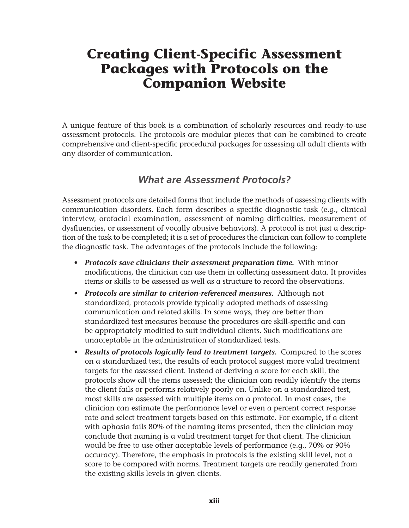## **Creating Client-Specific Assessment Packages with Protocols on the Companion Website**

A unique feature of this book is a combination of scholarly resources and ready-to-use assessment protocols. The protocols are modular pieces that can be combined to create comprehensive and client-specific procedural packages for assessing all adult clients with any disorder of communication.

#### *What are Assessment Protocols?*

Assessment protocols are detailed forms that include the methods of assessing clients with communication disorders. Each form describes a specific diagnostic task (e.g., clinical interview, orofacial examination, assessment of naming difficulties, measurement of dysfluencies, or assessment of vocally abusive behaviors). A protocol is not just a description of the task to be completed; it is a set of procedures the clinician can follow to complete the diagnostic task. The advantages of the protocols include the following:

- • *Protocols save clinicians their assessment preparation time.* With minor modifications, the clinician can use them in collecting assessment data. It provides items or skills to be assessed as well as a structure to record the observations.
- • *Protocols are similar to criterion-referenced measures.* Although not standardized, protocols provide typically adopted methods of assessing communication and related skills. In some ways, they are better than standardized test measures because the procedures are skill-specific and can be appropriately modified to suit individual clients. Such modifications are unacceptable in the administration of standardized tests.
- • *Results of protocols logically lead to treatment targets.* Compared to the scores on a standardized test, the results of each protocol suggest more valid treatment targets for the assessed client. Instead of deriving a score for each skill, the protocols show all the items assessed; the clinician can readily identify the items the client fails or performs relatively poorly on. Unlike on a standardized test, most skills are assessed with multiple items on a protocol. In most cases, the clinician can estimate the performance level or even a percent correct response rate and select treatment targets based on this estimate. For example, if a client with aphasia fails 80% of the naming items presented, then the clinician may conclude that naming is a valid treatment target for that client. The clinician would be free to use other acceptable levels of performance (e.g., 70% or 90% accuracy). Therefore, the emphasis in protocols is the existing skill level, not a score to be compared with norms. Treatment targets are readily generated from the existing skills levels in given clients.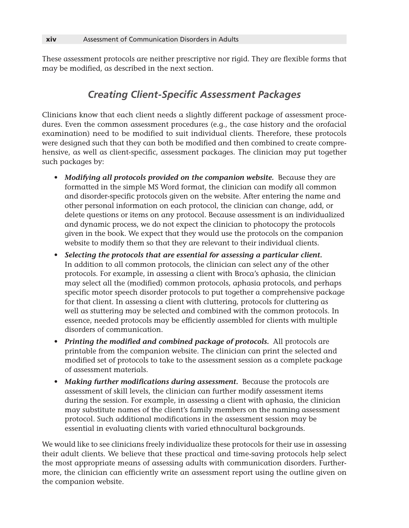These assessment protocols are neither prescriptive nor rigid. They are flexible forms that may be modified, as described in the next section.

#### *Creating Client-Specific Assessment Packages*

Clinicians know that each client needs a slightly different package of assessment procedures. Even the common assessment procedures (e.g., the case history and the orofacial examination) need to be modified to suit individual clients. Therefore, these protocols were designed such that they can both be modified and then combined to create comprehensive, as well as client-specific, assessment packages. The clinician may put together such packages by:

- • *Modifying all protocols provided on the companion website.* Because they are formatted in the simple MS Word format, the clinician can modify all common and disorder-specific protocols given on the website. After entering the name and other personal information on each protocol, the clinician can change, add, or delete questions or items on any protocol. Because assessment is an individualized and dynamic process, we do not expect the clinician to photocopy the protocols given in the book. We expect that they would use the protocols on the companion website to modify them so that they are relevant to their individual clients.
- Selecting the protocols that are essential for assessing a particular client. In addition to all common protocols, the clinician can select any of the other protocols. For example, in assessing a client with Broca's aphasia, the clinician may select all the (modified) common protocols, aphasia protocols, and perhaps specific motor speech disorder protocols to put together a comprehensive package for that client. In assessing a client with cluttering, protocols for cluttering as well as stuttering may be selected and combined with the common protocols. In essence, needed protocols may be efficiently assembled for clients with multiple disorders of communication.
- • *Printing the modified and combined package of protocols.* All protocols are printable from the companion website. The clinician can print the selected and modified set of protocols to take to the assessment session as a complete package of assessment materials.
- Making further modifications during assessment. Because the protocols are assessment of skill levels, the clinician can further modify assessment items during the session. For example, in assessing a client with aphasia, the clinician may substitute names of the client's family members on the naming assessment protocol. Such additional modifications in the assessment session may be essential in evaluating clients with varied ethnocultural backgrounds.

We would like to see clinicians freely individualize these protocols for their use in assessing their adult clients. We believe that these practical and time-saving protocols help select the most appropriate means of assessing adults with communication disorders. Furthermore, the clinician can efficiently write an assessment report using the outline given on the companion website.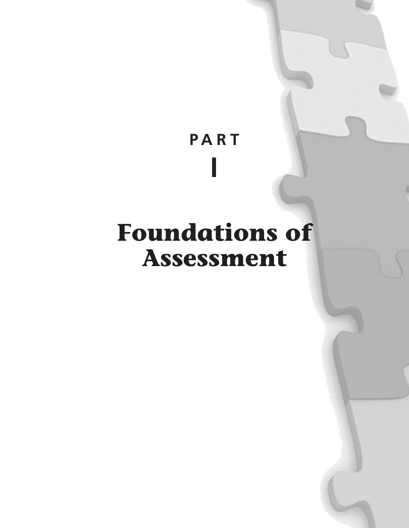# **Part**

**I**

# **Foundations of Assessment**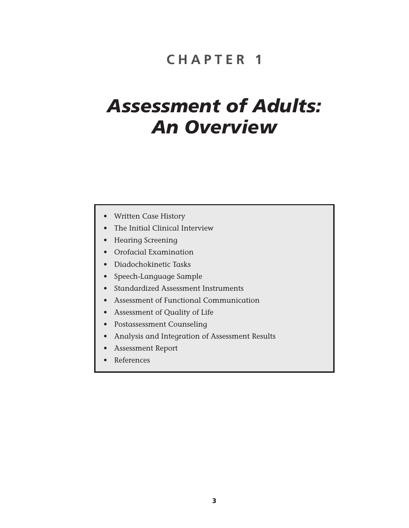## **C h a p ter 1**

# *Assessment of Adults: An Overview*

- Written Case History
- The Initial Clinical Interview
- Hearing Screening
- • Orofacial Examination
- Diadochokinetic Tasks
- • Speech-Language Sample
- • Standardized Assessment Instruments
- • Assessment of Functional Communication
- • Assessment of Quality of Life
- Postassessment Counseling
- • Analysis and Integration of Assessment Results
- • Assessment Report
- • References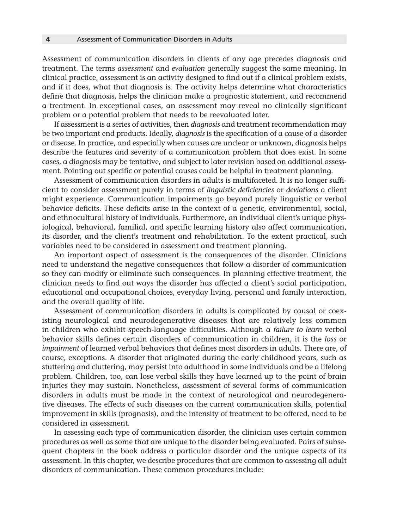Assessment of communication disorders in clients of any age precedes diagnosis and treatment. The terms *assessment* and *evaluation* generally suggest the same meaning. In clinical practice, assessment is an activity designed to find out if a clinical problem exists, and if it does, what that diagnosis is. The activity helps determine what characteristics define that diagnosis, helps the clinician make a prognostic statement, and recommend a treatment. In exceptional cases, an assessment may reveal no clinically significant problem or a potential problem that needs to be reevaluated later.

If assessment is a series of activities, then *diagnosis* and treatment recommendation may be two important end products. Ideally, *diagnosis* is the specification of a cause of a disorder or disease. In practice, and especially when causes are unclear or unknown, diagnosis helps describe the features and severity of a communication problem that does exist. In some cases, a diagnosis may be tentative, and subject to later revision based on additional assessment. Pointing out specific or potential causes could be helpful in treatment planning.

Assessment of communication disorders in adults is multifaceted. It is no longer sufficient to consider assessment purely in terms of *linguistic deficiencies* or *deviations* a client might experience. Communication impairments go beyond purely linguistic or verbal behavior deficits. These deficits arise in the context of a genetic, environmental, social, and ethnocultural history of individuals. Furthermore, an individual client's unique physiological, behavioral, familial, and specific learning history also affect communication, its disorder, and the client's treatment and rehabilitation. To the extent practical, such variables need to be considered in assessment and treatment planning.

An important aspect of assessment is the consequences of the disorder. Clinicians need to understand the negative consequences that follow a disorder of communication so they can modify or eliminate such consequences. In planning effective treatment, the clinician needs to find out ways the disorder has affected a client's social participation, educational and occupational choices, everyday living, personal and family interaction, and the overall quality of life.

Assessment of communication disorders in adults is complicated by causal or coexisting neurological and neurodegenerative diseases that are relatively less common in children who exhibit speech-language difficulties. Although a *failure to learn* verbal behavior skills defines certain disorders of communication in children, it is the *loss* or *impairment* of learned verbal behaviors that defines most disorders in adults. There are, of course, exceptions. A disorder that originated during the early childhood years, such as stuttering and cluttering, may persist into adulthood in some individuals and be a lifelong problem. Children, too, can lose verbal skills they have learned up to the point of brain injuries they may sustain. Nonetheless, assessment of several forms of communication disorders in adults must be made in the context of neurological and neurodegenerative diseases. The effects of such diseases on the current communication skills, potential improvement in skills (prognosis), and the intensity of treatment to be offered, need to be considered in assessment.

In assessing each type of communication disorder, the clinician uses certain common procedures as well as some that are unique to the disorder being evaluated. Pairs of subsequent chapters in the book address a particular disorder and the unique aspects of its assessment. In this chapter, we describe procedures that are common to assessing all adult disorders of communication. These common procedures include: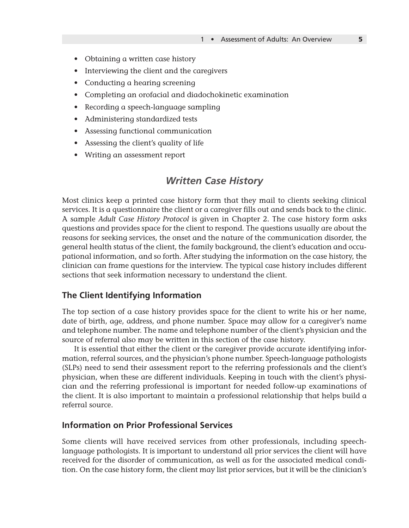- • Obtaining a written case history
- Interviewing the client and the caregivers
- Conducting a hearing screening
- • Completing an orofacial and diadochokinetic examination
- Recording a speech-language sampling
- • Administering standardized tests
- • Assessing functional communication
- • Assessing the client's quality of life
- • Writing an assessment report

#### *Written Case History*

Most clinics keep a printed case history form that they mail to clients seeking clinical services. It is a questionnaire the client or a caregiver fills out and sends back to the clinic. A sample *Adult Case History Protocol* is given in Chapter 2. The case history form asks questions and provides space for the client to respond. The questions usually are about the reasons for seeking services, the onset and the nature of the communication disorder, the general health status of the client, the family background, the client's education and occupational information, and so forth. After studying the information on the case history, the clinician can frame questions for the interview. The typical case history includes different sections that seek information necessary to understand the client.

#### **The Client Identifying Information**

The top section of a case history provides space for the client to write his or her name, date of birth, age, address, and phone number. Space may allow for a caregiver's name and telephone number. The name and telephone number of the client's physician and the source of referral also may be written in this section of the case history.

It is essential that either the client or the caregiver provide accurate identifying information, referral sources, and the physician's phone number. Speech-language pathologists (SLPs) need to send their assessment report to the referring professionals and the client's physician, when these are different individuals. Keeping in touch with the client's physician and the referring professional is important for needed follow-up examinations of the client. It is also important to maintain a professional relationship that helps build a referral source.

#### **Information on Prior Professional Services**

Some clients will have received services from other professionals, including speechlanguage pathologists. It is important to understand all prior services the client will have received for the disorder of communication, as well as for the associated medical condition. On the case history form, the client may list prior services, but it will be the clinician's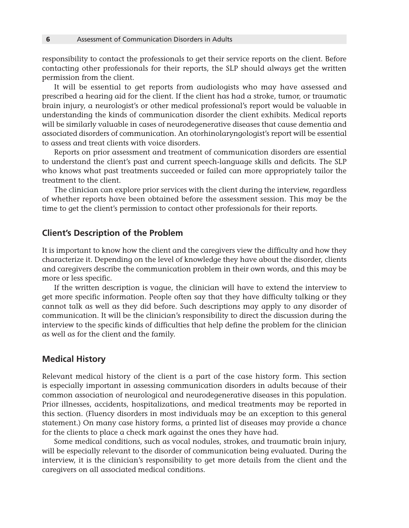responsibility to contact the professionals to get their service reports on the client. Before contacting other professionals for their reports, the SLP should always get the written permission from the client.

It will be essential to get reports from audiologists who may have assessed and prescribed a hearing aid for the client. If the client has had a stroke, tumor, or traumatic brain injury, a neurologist's or other medical professional's report would be valuable in understanding the kinds of communication disorder the client exhibits. Medical reports will be similarly valuable in cases of neurodegenerative diseases that cause dementia and associated disorders of communication. An otorhinolaryngologist's report will be essential to assess and treat clients with voice disorders.

Reports on prior assessment and treatment of communication disorders are essential to understand the client's past and current speech-language skills and deficits. The SLP who knows what past treatments succeeded or failed can more appropriately tailor the treatment to the client.

The clinician can explore prior services with the client during the interview, regardless of whether reports have been obtained before the assessment session. This may be the time to get the client's permission to contact other professionals for their reports.

#### **Client's Description of the Problem**

It is important to know how the client and the caregivers view the difficulty and how they characterize it. Depending on the level of knowledge they have about the disorder, clients and caregivers describe the communication problem in their own words, and this may be more or less specific.

If the written description is vague, the clinician will have to extend the interview to get more specific information. People often say that they have difficulty talking or they cannot talk as well as they did before. Such descriptions may apply to any disorder of communication. It will be the clinician's responsibility to direct the discussion during the interview to the specific kinds of difficulties that help define the problem for the clinician as well as for the client and the family.

#### **Medical History**

Relevant medical history of the client is a part of the case history form. This section is especially important in assessing communication disorders in adults because of their common association of neurological and neurodegenerative diseases in this population. Prior illnesses, accidents, hospitalizations, and medical treatments may be reported in this section. (Fluency disorders in most individuals may be an exception to this general statement.) On many case history forms, a printed list of diseases may provide a chance for the clients to place a check mark against the ones they have had.

Some medical conditions, such as vocal nodules, strokes, and traumatic brain injury, will be especially relevant to the disorder of communication being evaluated. During the interview, it is the clinician's responsibility to get more details from the client and the caregivers on all associated medical conditions.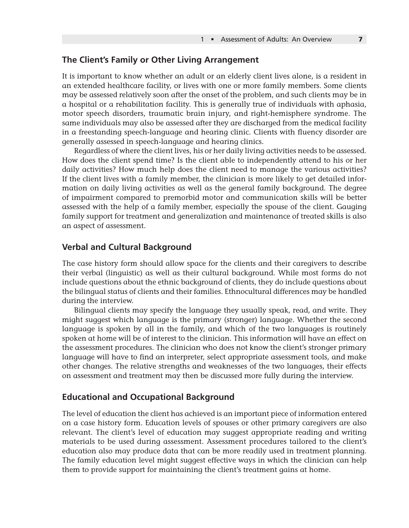#### **The Client's Family or Other Living Arrangement**

It is important to know whether an adult or an elderly client lives alone, is a resident in an extended healthcare facility, or lives with one or more family members. Some clients may be assessed relatively soon after the onset of the problem, and such clients may be in a hospital or a rehabilitation facility. This is generally true of individuals with aphasia, motor speech disorders, traumatic brain injury, and right-hemisphere syndrome. The same individuals may also be assessed after they are discharged from the medical facility in a freestanding speech-language and hearing clinic. Clients with fluency disorder are generally assessed in speech-language and hearing clinics.

Regardless of where the client lives, his or her daily living activities needs to be assessed. How does the client spend time? Is the client able to independently attend to his or her daily activities? How much help does the client need to manage the various activities? If the client lives with a family member, the clinician is more likely to get detailed information on daily living activities as well as the general family background. The degree of impairment compared to premorbid motor and communication skills will be better assessed with the help of a family member, especially the spouse of the client. Gauging family support for treatment and generalization and maintenance of treated skills is also an aspect of assessment.

#### **Verbal and Cultural Background**

The case history form should allow space for the clients and their caregivers to describe their verbal (linguistic) as well as their cultural background. While most forms do not include questions about the ethnic background of clients, they do include questions about the bilingual status of clients and their families. Ethnocultural differences may be handled during the interview.

Bilingual clients may specify the language they usually speak, read, and write. They might suggest which language is the primary (stronger) language. Whether the second language is spoken by all in the family, and which of the two languages is routinely spoken at home will be of interest to the clinician. This information will have an effect on the assessment procedures. The clinician who does not know the client's stronger primary language will have to find an interpreter, select appropriate assessment tools, and make other changes. The relative strengths and weaknesses of the two languages, their effects on assessment and treatment may then be discussed more fully during the interview.

#### **Educational and Occupational Background**

The level of education the client has achieved is an important piece of information entered on a case history form. Education levels of spouses or other primary caregivers are also relevant. The client's level of education may suggest appropriate reading and writing materials to be used during assessment. Assessment procedures tailored to the client's education also may produce data that can be more readily used in treatment planning. The family education level might suggest effective ways in which the clinician can help them to provide support for maintaining the client's treatment gains at home.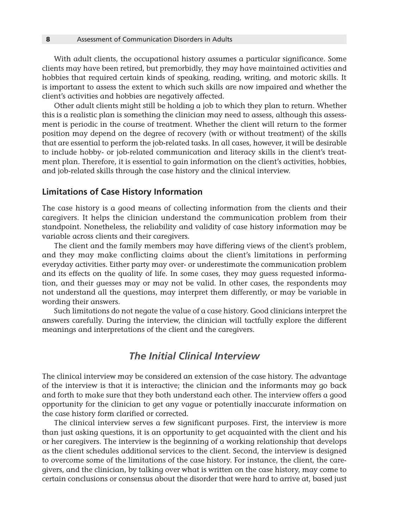With adult clients, the occupational history assumes a particular significance. Some clients may have been retired, but premorbidly, they may have maintained activities and hobbies that required certain kinds of speaking, reading, writing, and motoric skills. It is important to assess the extent to which such skills are now impaired and whether the client's activities and hobbies are negatively affected.

Other adult clients might still be holding a job to which they plan to return. Whether this is a realistic plan is something the clinician may need to assess, although this assessment is periodic in the course of treatment. Whether the client will return to the former position may depend on the degree of recovery (with or without treatment) of the skills that are essential to perform the job-related tasks. In all cases, however, it will be desirable to include hobby- or job-related communication and literacy skills in the client's treatment plan. Therefore, it is essential to gain information on the client's activities, hobbies, and job-related skills through the case history and the clinical interview.

#### **Limitations of Case History Information**

The case history is a good means of collecting information from the clients and their caregivers. It helps the clinician understand the communication problem from their standpoint. Nonetheless, the reliability and validity of case history information may be variable across clients and their caregivers.

The client and the family members may have differing views of the client's problem, and they may make conflicting claims about the client's limitations in performing everyday activities. Either party may over- or underestimate the communication problem and its effects on the quality of life. In some cases, they may guess requested information, and their guesses may or may not be valid. In other cases, the respondents may not understand all the questions, may interpret them differently, or may be variable in wording their answers.

Such limitations do not negate the value of a case history. Good clinicians interpret the answers carefully. During the interview, the clinician will tactfully explore the different meanings and interpretations of the client and the caregivers.

#### *The Initial Clinical Interview*

The clinical interview may be considered an extension of the case history. The advantage of the interview is that it is interactive; the clinician and the informants may go back and forth to make sure that they both understand each other. The interview offers a good opportunity for the clinician to get any vague or potentially inaccurate information on the case history form clarified or corrected.

The clinical interview serves a few significant purposes. First, the interview is more than just asking questions, it is an opportunity to get acquainted with the client and his or her caregivers. The interview is the beginning of a working relationship that develops as the client schedules additional services to the client. Second, the interview is designed to overcome some of the limitations of the case history. For instance, the client, the caregivers, and the clinician, by talking over what is written on the case history, may come to certain conclusions or consensus about the disorder that were hard to arrive at, based just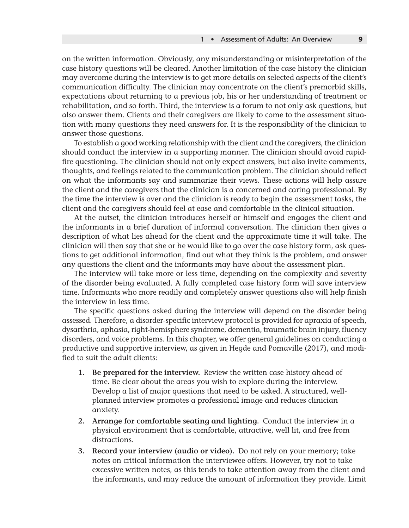on the written information. Obviously, any misunderstanding or misinterpretation of the case history questions will be cleared. Another limitation of the case history the clinician may overcome during the interview is to get more details on selected aspects of the client's communication difficulty. The clinician may concentrate on the client's premorbid skills, expectations about returning to a previous job, his or her understanding of treatment or rehabilitation, and so forth. Third, the interview is a forum to not only ask questions, but also answer them. Clients and their caregivers are likely to come to the assessment situation with many questions they need answers for. It is the responsibility of the clinician to answer those questions.

To establish a good working relationship with the client and the caregivers, the clinician should conduct the interview in a supporting manner. The clinician should avoid rapidfire questioning. The clinician should not only expect answers, but also invite comments, thoughts, and feelings related to the communication problem. The clinician should reflect on what the informants say and summarize their views. These actions will help assure the client and the caregivers that the clinician is a concerned and caring professional. By the time the interview is over and the clinician is ready to begin the assessment tasks, the client and the caregivers should feel at ease and comfortable in the clinical situation.

At the outset, the clinician introduces herself or himself and engages the client and the informants in a brief duration of informal conversation. The clinician then gives a description of what lies ahead for the client and the approximate time it will take. The clinician will then say that she or he would like to go over the case history form, ask questions to get additional information, find out what they think is the problem, and answer any questions the client and the informants may have about the assessment plan.

The interview will take more or less time, depending on the complexity and severity of the disorder being evaluated. A fully completed case history form will save interview time. Informants who more readily and completely answer questions also will help finish the interview in less time.

The specific questions asked during the interview will depend on the disorder being assessed. Therefore, a disorder-specific interview protocol is provided for apraxia of speech, dysarthria, aphasia, right-hemisphere syndrome, dementia, traumatic brain injury, fluency disorders, and voice problems. In this chapter, we offer general guidelines on conducting a productive and supportive interview, as given in Hegde and Pomaville (2017), and modified to suit the adult clients:

- **1. Be prepared for the interview.** Review the written case history ahead of time. Be clear about the areas you wish to explore during the interview. Develop a list of major questions that need to be asked. A structured, wellplanned interview promotes a professional image and reduces clinician anxiety.
- **2. Arrange for comfortable seating and lighting.** Conduct the interview in a physical environment that is comfortable, attractive, well lit, and free from distractions.
- **3. Record your interview (audio or video).** Do not rely on your memory; take notes on critical information the interviewee offers. However, try not to take excessive written notes, as this tends to take attention away from the client and the informants, and may reduce the amount of information they provide. Limit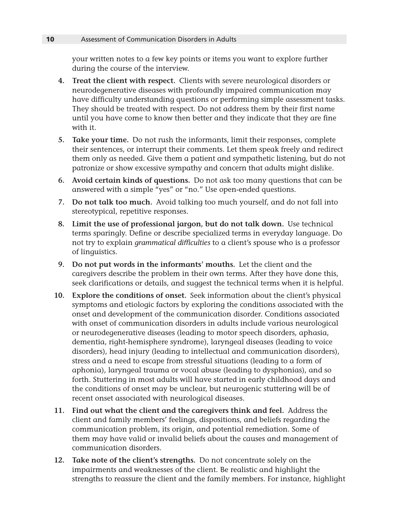#### 10 **Assessment of Communication Disorders in Adults**

your written notes to a few key points or items you want to explore further during the course of the interview.

- **4. Treat the client with respect.** Clients with severe neurological disorders or neurodegenerative diseases with profoundly impaired communication may have difficulty understanding questions or performing simple assessment tasks. They should be treated with respect. Do not address them by their first name until you have come to know then better and they indicate that they are fine with it.
- **5. Take your time.** Do not rush the informants, limit their responses, complete their sentences, or interrupt their comments. Let them speak freely and redirect them only as needed. Give them a patient and sympathetic listening, but do not patronize or show excessive sympathy and concern that adults might dislike.
- **6. Avoid certain kinds of questions.** Do not ask too many questions that can be answered with a simple "yes" or "no." Use open-ended questions.
- **7. Do not talk too much.** Avoid talking too much yourself, and do not fall into stereotypical, repetitive responses.
- **8. Limit the use of professional jargon, but do not talk down.** Use technical terms sparingly. Define or describe specialized terms in everyday language. Do not try to explain *grammatical difficulties* to a client's spouse who is a professor of linguistics.
- **9. Do not put words in the informants' mouths.** Let the client and the caregivers describe the problem in their own terms. After they have done this, seek clarifications or details, and suggest the technical terms when it is helpful.
- **10. Explore the conditions of onset.** Seek information about the client's physical symptoms and etiologic factors by exploring the conditions associated with the onset and development of the communication disorder. Conditions associated with onset of communication disorders in adults include various neurological or neurodegenerative diseases (leading to motor speech disorders, aphasia, dementia, right-hemisphere syndrome), laryngeal diseases (leading to voice disorders), head injury (leading to intellectual and communication disorders), stress and a need to escape from stressful situations (leading to a form of aphonia), laryngeal trauma or vocal abuse (leading to dysphonias), and so forth. Stuttering in most adults will have started in early childhood days and the conditions of onset may be unclear, but neurogenic stuttering will be of recent onset associated with neurological diseases.
- **11. Find out what the client and the caregivers think and feel.** Address the client and family members' feelings, dispositions, and beliefs regarding the communication problem, its origin, and potential remediation. Some of them may have valid or invalid beliefs about the causes and management of communication disorders.
- **12. Take note of the client's strengths.** Do not concentrate solely on the impairments and weaknesses of the client. Be realistic and highlight the strengths to reassure the client and the family members. For instance, highlight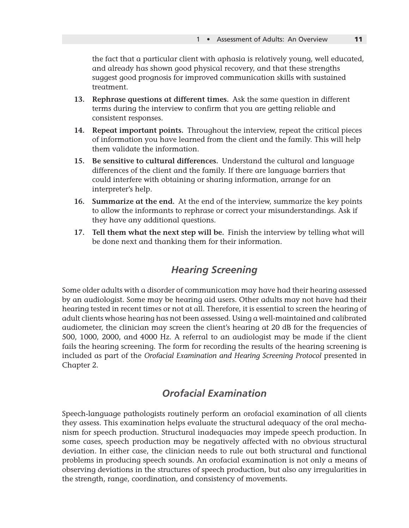the fact that a particular client with aphasia is relatively young, well educated, and already has shown good physical recovery, and that these strengths suggest good prognosis for improved communication skills with sustained treatment.

- **13. Rephrase questions at different times.** Ask the same question in different terms during the interview to confirm that you are getting reliable and consistent responses.
- **14. Repeat important points.** Throughout the interview, repeat the critical pieces of information you have learned from the client and the family. This will help them validate the information.
- **15. Be sensitive to cultural differences.** Understand the cultural and language differences of the client and the family. If there are language barriers that could interfere with obtaining or sharing information, arrange for an interpreter's help.
- **16. Summarize at the end.** At the end of the interview, summarize the key points to allow the informants to rephrase or correct your misunderstandings. Ask if they have any additional questions.
- **17. Tell them what the next step will be.** Finish the interview by telling what will be done next and thanking them for their information.

#### *Hearing Screening*

Some older adults with a disorder of communication may have had their hearing assessed by an audiologist. Some may be hearing aid users. Other adults may not have had their hearing tested in recent times or not at all. Therefore, it is essential to screen the hearing of adult clients whose hearing has not been assessed. Using a well-maintained and calibrated audiometer, the clinician may screen the client's hearing at 20 dB for the frequencies of 500, 1000, 2000, and 4000 Hz. A referral to an audiologist may be made if the client fails the hearing screening. The form for recording the results of the hearing screening is included as part of the *Orofacial Examination and Hearing Screening Protocol* presented in Chapter 2.

#### *Orofacial Examination*

Speech-language pathologists routinely perform an orofacial examination of all clients they assess. This examination helps evaluate the structural adequacy of the oral mechanism for speech production. Structural inadequacies may impede speech production. In some cases, speech production may be negatively affected with no obvious structural deviation. In either case, the clinician needs to rule out both structural and functional problems in producing speech sounds. An orofacial examination is not only a means of observing deviations in the structures of speech production, but also any irregularities in the strength, range, coordination, and consistency of movements.